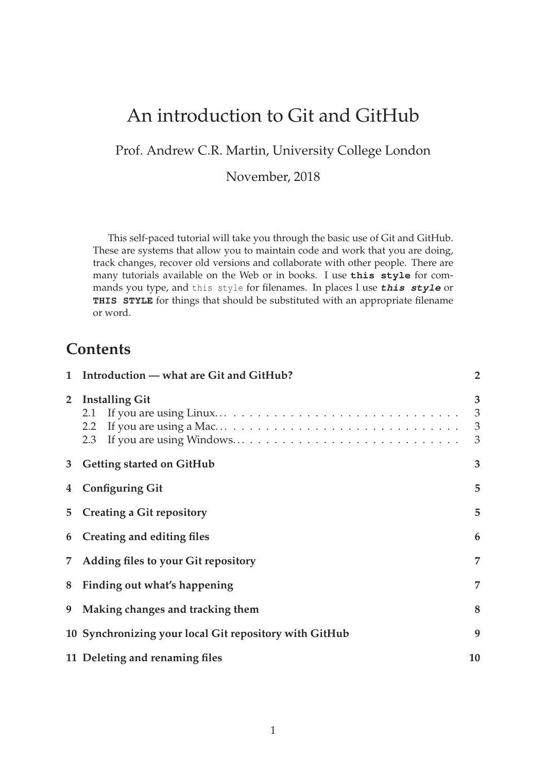# An introduction to Git and GitHub

Prof. Andrew C.R. Martin, University College London

November, 2018

This self-paced tutorial will take you through the basic use of Git and GitHub. These are systems that allow you to maintain code and work that you are doing, track changes, recover old versions and collaborate with other people. There are many tutorials available on the Web or in books. I use **this style** for commands you type, and this style for filenames. In places I use **this style** or **THIS STYLE** for things that should be substituted with an appropriate filename or word.

## **Contents**

|                | 1 Introduction - what are Git and GitHub?<br>$\overline{2}$ |                  |  |
|----------------|-------------------------------------------------------------|------------------|--|
| $\overline{2}$ | <b>Installing Git</b><br>$2.2^{\circ}$                      | 3<br>3<br>3<br>3 |  |
| 3 <sup>7</sup> | <b>Getting started on GitHub</b>                            | 3                |  |
| 4              | <b>Configuring Git</b>                                      | 5                |  |
| 5              | <b>Creating a Git repository</b>                            | 5                |  |
| 6              | 6<br>Creating and editing files                             |                  |  |
| $7^{\circ}$    | 7<br>Adding files to your Git repository                    |                  |  |
|                | 8 Finding out what's happening                              | 7                |  |
| 9              | 8<br>Making changes and tracking them                       |                  |  |
|                | 10 Synchronizing your local Git repository with GitHub<br>9 |                  |  |
|                | 11 Deleting and renaming files<br>10                        |                  |  |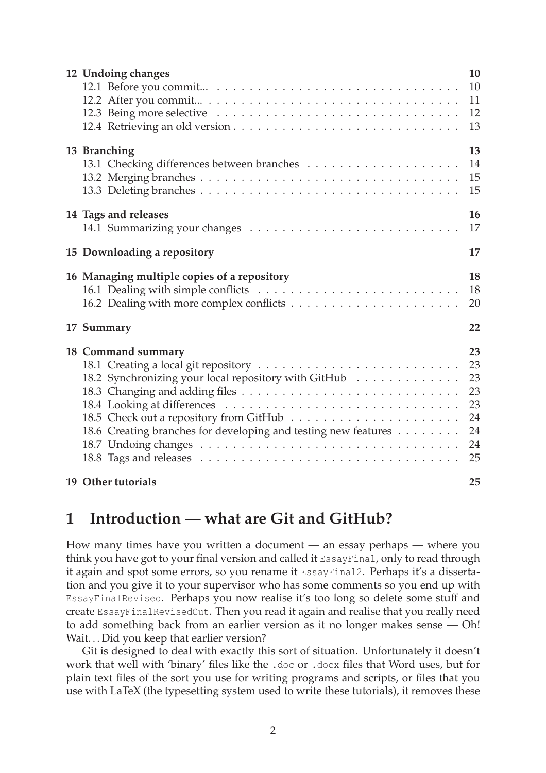| 12 Undoing changes                                                                                                                           | 10<br>10<br>11<br>12<br>13                         |
|----------------------------------------------------------------------------------------------------------------------------------------------|----------------------------------------------------|
| 13 Branching                                                                                                                                 | 13<br>14<br>15<br>15                               |
| 14 Tags and releases                                                                                                                         | 16<br>17                                           |
| 15 Downloading a repository                                                                                                                  | 17                                                 |
| 16 Managing multiple copies of a repository                                                                                                  | 18<br>18<br>20                                     |
| 17 Summary                                                                                                                                   | 22                                                 |
| 18 Command summary<br>18.2 Synchronizing your local repository with GitHub<br>18.6 Creating branches for developing and testing new features | 23<br>23<br>23<br>23<br>23<br>24<br>24<br>24<br>25 |
| 19 Other tutorials                                                                                                                           | 25                                                 |

## **1 Introduction — what are Git and GitHub?**

How many times have you written a document — an essay perhaps — where you think you have got to your final version and called it EssayFinal, only to read through it again and spot some errors, so you rename it EssayFinal2. Perhaps it's a dissertation and you give it to your supervisor who has some comments so you end up with EssayFinalRevised. Perhaps you now realise it's too long so delete some stuff and create EssayFinalRevisedCut. Then you read it again and realise that you really need to add something back from an earlier version as it no longer makes sense — Oh! Wait...Did you keep that earlier version?

Git is designed to deal with exactly this sort of situation. Unfortunately it doesn't work that well with 'binary' files like the .doc or .docx files that Word uses, but for plain text files of the sort you use for writing programs and scripts, or files that you use with LaTeX (the typesetting system used to write these tutorials), it removes these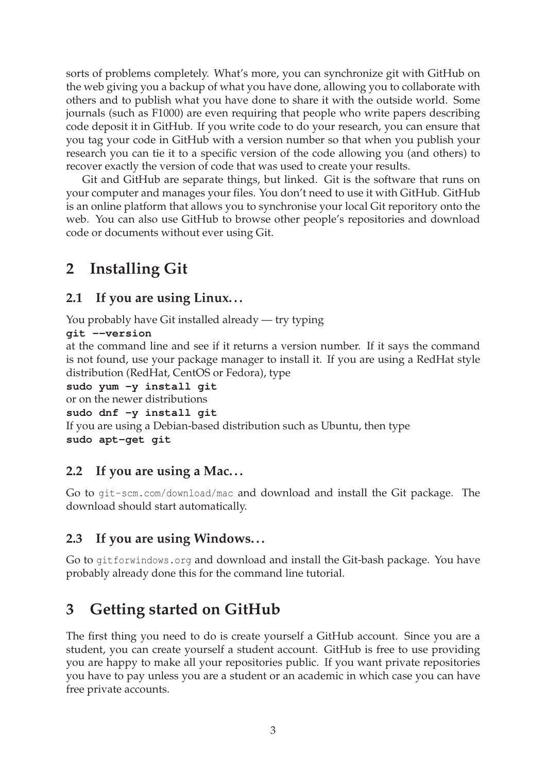sorts of problems completely. What's more, you can synchronize git with GitHub on the web giving you a backup of what you have done, allowing you to collaborate with others and to publish what you have done to share it with the outside world. Some journals (such as F1000) are even requiring that people who write papers describing code deposit it in GitHub. If you write code to do your research, you can ensure that you tag your code in GitHub with a version number so that when you publish your research you can tie it to a specific version of the code allowing you (and others) to recover exactly the version of code that was used to create your results.

Git and GitHub are separate things, but linked. Git is the software that runs on your computer and manages your files. You don't need to use it with GitHub. GitHub is an online platform that allows you to synchronise your local Git reporitory onto the web. You can also use GitHub to browse other people's repositories and download code or documents without ever using Git.

# **2 Installing Git**

### **2.1 If you are using Linux. . .**

You probably have Git installed already — try typing

```
git --version
```
at the command line and see if it returns a version number. If it says the command is not found, use your package manager to install it. If you are using a RedHat style distribution (RedHat, CentOS or Fedora), type

```
sudo yum -y install git
```

```
or on the newer distributions
```
**sudo dnf -y install git**

If you are using a Debian-based distribution such as Ubuntu, then type **sudo apt-get git**

### **2.2 If you are using a Mac. . .**

Go to git-scm.com/download/mac and download and install the Git package. The download should start automatically.

### **2.3 If you are using Windows. . .**

Go to gitforwindows.org and download and install the Git-bash package. You have probably already done this for the command line tutorial.

# **3 Getting started on GitHub**

The first thing you need to do is create yourself a GitHub account. Since you are a student, you can create yourself a student account. GitHub is free to use providing you are happy to make all your repositories public. If you want private repositories you have to pay unless you are a student or an academic in which case you can have free private accounts.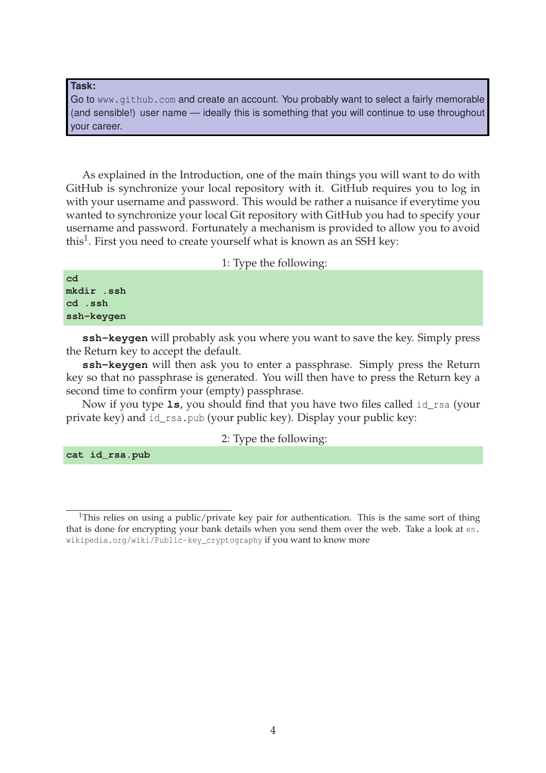**Task:**

Go to www.github.com and create an account. You probably want to select a fairly memorable (and sensible!) user name — ideally this is something that you will continue to use throughout your career.

As explained in the Introduction, one of the main things you will want to do with GitHub is synchronize your local repository with it. GitHub requires you to log in with your username and password. This would be rather a nuisance if everytime you wanted to synchronize your local Git repository with GitHub you had to specify your username and password. Fortunately a mechanism is provided to allow you to avoid this $^1$ . First you need to create yourself what is known as an SSH key:

1: Type the following:

| cd         |  |
|------------|--|
| mkdir .ssh |  |
| cd .ssh    |  |
| ssh-keygen |  |

**ssh-keygen** will probably ask you where you want to save the key. Simply press the Return key to accept the default.

**ssh-keygen** will then ask you to enter a passphrase. Simply press the Return key so that no passphrase is generated. You will then have to press the Return key a second time to confirm your (empty) passphrase.

Now if you type **ls**, you should find that you have two files called id\_rsa (your private key) and id\_rsa.pub (your public key). Display your public key:

2: Type the following:

**cat id\_rsa.pub**

<sup>&</sup>lt;sup>1</sup>This relies on using a public/private key pair for authentication. This is the same sort of thing that is done for encrypting your bank details when you send them over the web. Take a look at en. wikipedia.org/wiki/Public-key\_cryptography if you want to know more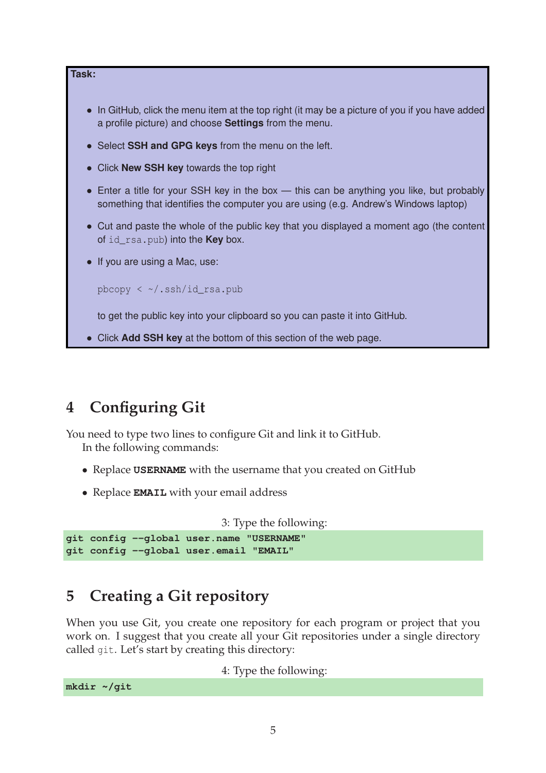

# **4 Configuring Git**

You need to type two lines to configure Git and link it to GitHub.

In the following commands:

- Replace **USERNAME** with the username that you created on GitHub
- Replace **EMAIL** with your email address

```
3: Type the following:
git config --global user.name "USERNAME"
git config --global user.email "EMAIL"
```
# **5 Creating a Git repository**

When you use Git, you create one repository for each program or project that you work on. I suggest that you create all your Git repositories under a single directory called git. Let's start by creating this directory:

4: Type the following:

**mkdir ~/git**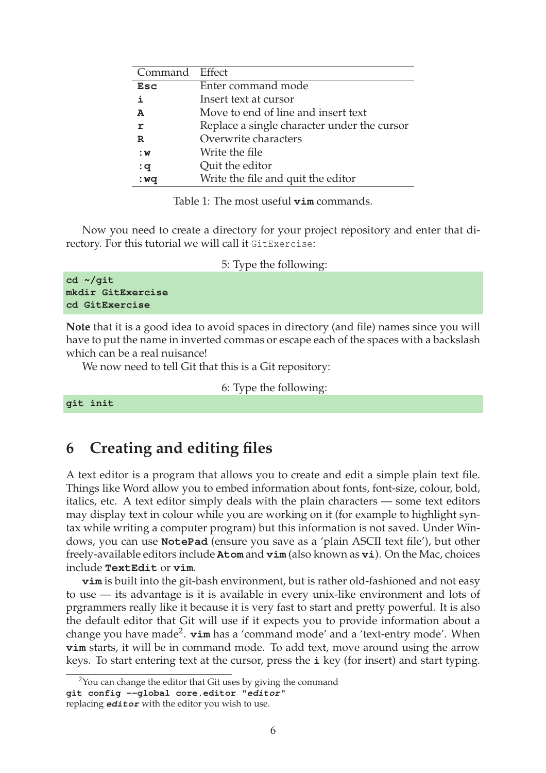| Command Effect |                                             |
|----------------|---------------------------------------------|
| <b>Esc</b>     | Enter command mode                          |
| i              | Insert text at cursor                       |
| A              | Move to end of line and insert text         |
| r              | Replace a single character under the cursor |
| R              | Overwrite characters                        |
| : <b>w</b>     | Write the file                              |
| : $q$          | Quit the editor                             |
| : wq           | Write the file and quit the editor          |

Table 1: The most useful **vim** commands.

Now you need to create a directory for your project repository and enter that directory. For this tutorial we will call it GitExercise:

|  |  | 5: Type the following: |
|--|--|------------------------|

**Note** that it is a good idea to avoid spaces in directory (and file) names since you will have to put the name in inverted commas or escape each of the spaces with a backslash which can be a real nuisance!

We now need to tell Git that this is a Git repository:

6: Type the following:

```
git init
```
### **6 Creating and editing files**

A text editor is a program that allows you to create and edit a simple plain text file. Things like Word allow you to embed information about fonts, font-size, colour, bold, italics, etc. A text editor simply deals with the plain characters — some text editors may display text in colour while you are working on it (for example to highlight syntax while writing a computer program) but this information is not saved. Under Windows, you can use **NotePad** (ensure you save as a 'plain ASCII text file'), but other freely-available editors include **Atom** and **vim** (also known as **vi**). On the Mac, choices include **TextEdit** or **vim**.

**vim** is built into the git-bash environment, but is rather old-fashioned and not easy to use — its advantage is it is available in every unix-like environment and lots of prgrammers really like it because it is very fast to start and pretty powerful. It is also the default editor that Git will use if it expects you to provide information about a change you have made<sup>2</sup>. **vim** has a 'command mode' and a 'text-entry mode'. When **vim** starts, it will be in command mode. To add text, move around using the arrow keys. To start entering text at the cursor, press the **i** key (for insert) and start typing.

 $2$ You can change the editor that Git uses by giving the command **git config --global core.editor "editor"** replacing **editor** with the editor you wish to use.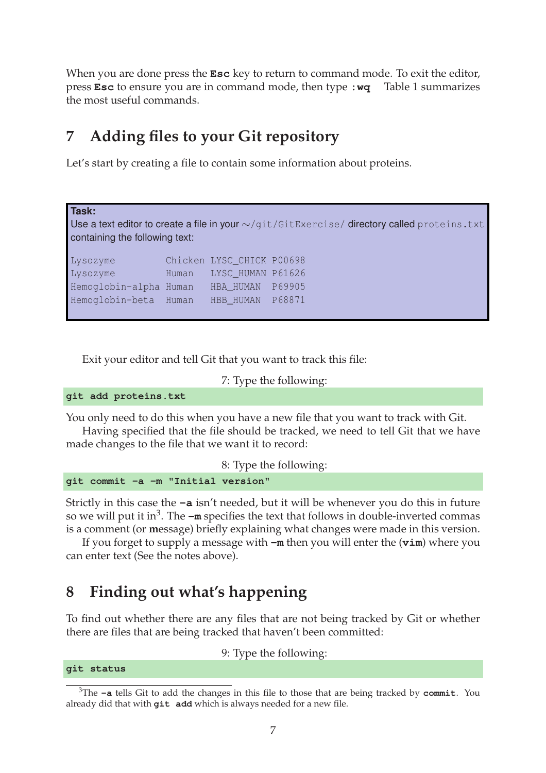When you are done press the **Esc** key to return to command mode. To exit the editor, press **Esc** to ensure you are in command mode, then type **:wq** Table 1 summarizes the most useful commands.

## **7 Adding files to your Git repository**

Let's start by creating a file to contain some information about proteins.

**Task:**

Use a text editor to create a file in your ∼/git/GitExercise/ directory called proteins.txt containing the following text:

Lysozyme Chicken LYSC\_CHICK P00698 Lysozyme Human LYSC\_HUMAN P61626 Hemoglobin-alpha Human HBA\_HUMAN P69905 Hemoglobin-beta Human HBB\_HUMAN P68871

Exit your editor and tell Git that you want to track this file:

7: Type the following:

**git add proteins.txt**

You only need to do this when you have a new file that you want to track with Git.

Having specified that the file should be tracked, we need to tell Git that we have made changes to the file that we want it to record:

8: Type the following: **git commit -a -m "Initial version"**

Strictly in this case the **-a** isn't needed, but it will be whenever you do this in future so we will put it in<sup>3</sup>. The **–m** specifies the text that follows in double-inverted commas is a comment (or **m**essage) briefly explaining what changes were made in this version.

If you forget to supply a message with **-m** then you will enter the (**vim**) where you can enter text (See the notes above).

## **8 Finding out what's happening**

To find out whether there are any files that are not being tracked by Git or whether there are files that are being tracked that haven't been committed:

9: Type the following:

**git status**

<sup>3</sup>The **-a** tells Git to add the changes in this file to those that are being tracked by **commit**. You already did that with **git add** which is always needed for a new file.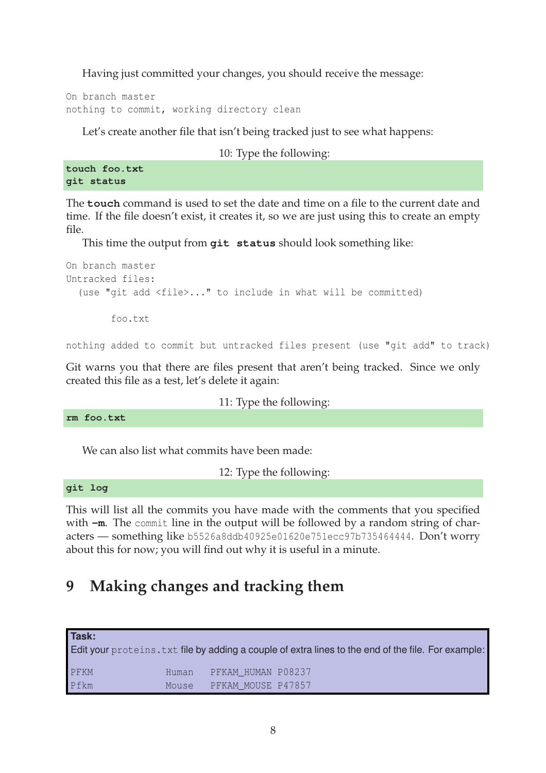Having just committed your changes, you should receive the message:

On branch master nothing to commit, working directory clean

Let's create another file that isn't being tracked just to see what happens:

10: Type the following:

**touch foo.txt git status**

The **touch** command is used to set the date and time on a file to the current date and time. If the file doesn't exist, it creates it, so we are just using this to create an empty file.

This time the output from **git status** should look something like:

```
On branch master
Untracked files:
  (use "git add <file>..." to include in what will be committed)
        foo.txt
```
nothing added to commit but untracked files present (use "git add" to track)

Git warns you that there are files present that aren't being tracked. Since we only created this file as a test, let's delete it again:

#### 11: Type the following:

**rm foo.txt**

We can also list what commits have been made:

12: Type the following:

**git log**

This will list all the commits you have made with the comments that you specified with  $-m$ . The commit line in the output will be followed by a random string of characters — something like b5526a8ddb40925e01620e751ecc97b735464444. Don't worry about this for now; you will find out why it is useful in a minute.

# **9 Making changes and tracking them**

| Task: |       |                    | Edit your proteins. txt file by adding a couple of extra lines to the end of the file. For example: |
|-------|-------|--------------------|-----------------------------------------------------------------------------------------------------|
| PFKM  | Human | PFKAM HUMAN P08237 |                                                                                                     |
| Pfkm  | Mouse | PFKAM MOUSE P47857 |                                                                                                     |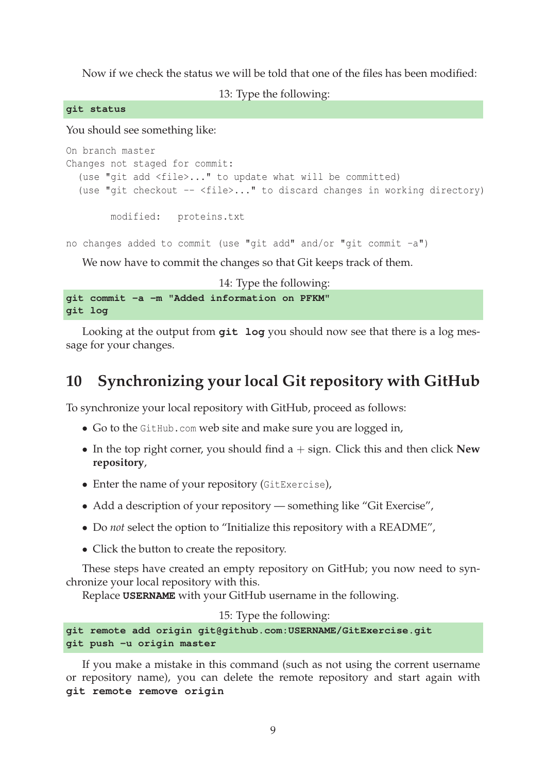Now if we check the status we will be told that one of the files has been modified:

13: Type the following:

**git status**

You should see something like:

```
On branch master
Changes not staged for commit:
  (use "git add <file>..." to update what will be committed)
  (use "git checkout - <file>..." to discard changes in working directory)
       modified: proteins.txt
no changes added to commit (use "git add" and/or "git commit -a")
```
We now have to commit the changes so that Git keeps track of them.

14: Type the following: **git commit -a -m "Added information on PFKM" git log**

Looking at the output from **git log** you should now see that there is a log message for your changes.

## **10 Synchronizing your local Git repository with GitHub**

To synchronize your local repository with GitHub, proceed as follows:

- Go to the GitHub.com web site and make sure you are logged in,
- In the top right corner, you should find a + sign. Click this and then click **New repository**,
- Enter the name of your repository (GitExercise),
- Add a description of your repository something like "Git Exercise",
- Do *not* select the option to "Initialize this repository with a README",
- Click the button to create the repository.

These steps have created an empty repository on GitHub; you now need to synchronize your local repository with this.

Replace **USERNAME** with your GitHub username in the following.

15: Type the following:

```
git remote add origin git@github.com:USERNAME/GitExercise.git
git push -u origin master
```
If you make a mistake in this command (such as not using the corrent username or repository name), you can delete the remote repository and start again with **git remote remove origin**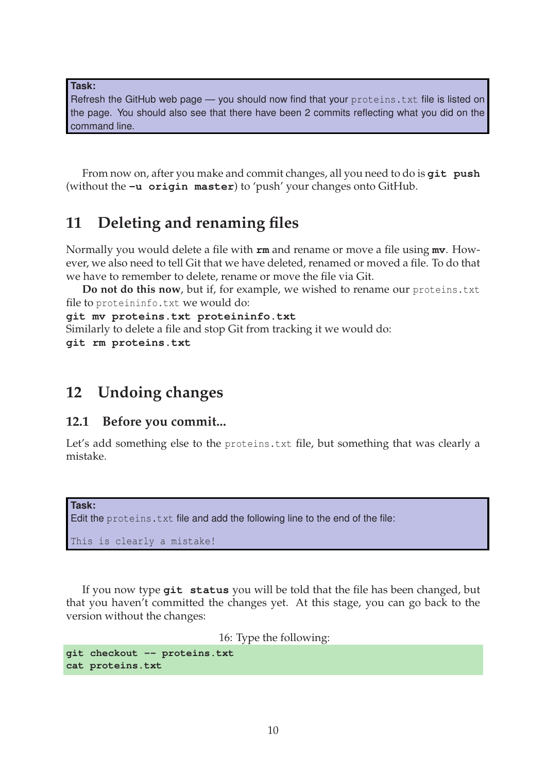**Task:**

Refresh the GitHub web page - you should now find that your proteins. txt file is listed on the page. You should also see that there have been 2 commits reflecting what you did on the command line.

From now on, after you make and commit changes, all you need to do is **git push** (without the **-u origin master**) to 'push' your changes onto GitHub.

## **11 Deleting and renaming files**

Normally you would delete a file with **rm** and rename or move a file using **mv**. However, we also need to tell Git that we have deleted, renamed or moved a file. To do that we have to remember to delete, rename or move the file via Git.

**Do not do this now**, but if, for example, we wished to rename our proteins.txt file to proteininfo.txt we would do:

**git mv proteins.txt proteininfo.txt**

Similarly to delete a file and stop Git from tracking it we would do:

**git rm proteins.txt**

## **12 Undoing changes**

### **12.1 Before you commit...**

Let's add something else to the proteins.txt file, but something that was clearly a mistake.

```
Task:
Edit the proteins.txt file and add the following line to the end of the file:
This is clearly a mistake!
```
If you now type **git status** you will be told that the file has been changed, but that you haven't committed the changes yet. At this stage, you can go back to the version without the changes:

16: Type the following:

```
git checkout -- proteins.txt
cat proteins.txt
```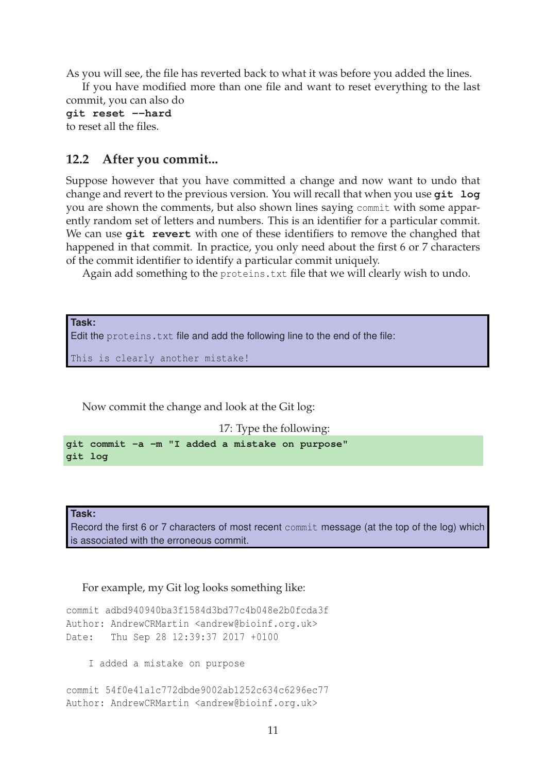As you will see, the file has reverted back to what it was before you added the lines.

If you have modified more than one file and want to reset everything to the last commit, you can also do

**git reset --hard** to reset all the files.

### **12.2 After you commit...**

Suppose however that you have committed a change and now want to undo that change and revert to the previous version. You will recall that when you use **git log** you are shown the comments, but also shown lines saying commit with some apparently random set of letters and numbers. This is an identifier for a particular commit. We can use **git revert** with one of these identifiers to remove the changhed that happened in that commit. In practice, you only need about the first 6 or 7 characters of the commit identifier to identify a particular commit uniquely.

Again add something to the proteins.txt file that we will clearly wish to undo.

**Task:** Edit the proteins.txt file and add the following line to the end of the file: This is clearly another mistake!

Now commit the change and look at the Git log:

17: Type the following:

**git commit -a -m "I added a mistake on purpose" git log**

**Task:**

Record the first 6 or 7 characters of most recent commit message (at the top of the log) which is associated with the erroneous commit.

For example, my Git log looks something like:

commit adbd940940ba3f1584d3bd77c4b048e2b0fcda3f Author: AndrewCRMartin <andrew@bioinf.org.uk> Date: Thu Sep 28 12:39:37 2017 +0100

I added a mistake on purpose

```
commit 54f0e41a1c772dbde9002ab1252c634c6296ec77
Author: AndrewCRMartin <andrew@bioinf.org.uk>
```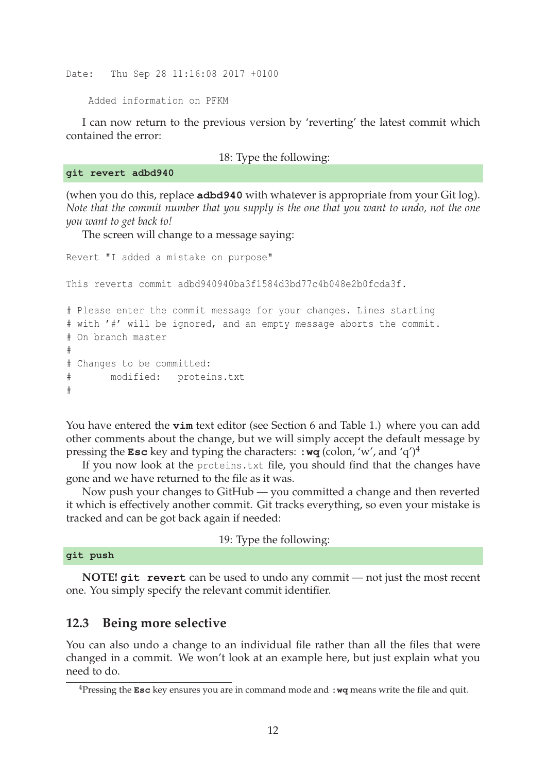Date: Thu Sep 28 11:16:08 2017 +0100

Added information on PFKM

I can now return to the previous version by 'reverting' the latest commit which contained the error:

18: Type the following:

**git revert adbd940**

(when you do this, replace **adbd940** with whatever is appropriate from your Git log). *Note that the commit number that you supply is the one that you want to undo, not the one you want to get back to!*

The screen will change to a message saying:

Revert "I added a mistake on purpose" This reverts commit adbd940940ba3f1584d3bd77c4b048e2b0fcda3f. # Please enter the commit message for your changes. Lines starting # with '#' will be ignored, and an empty message aborts the commit. # On branch master # # Changes to be committed: # modified: proteins.txt #

You have entered the **vim** text editor (see Section 6 and Table 1.) where you can add other comments about the change, but we will simply accept the default message by pressing the **Esc** key and typing the characters: **:wq** (colon, 'w', and 'q')<sup>4</sup>

If you now look at the proteins.txt file, you should find that the changes have gone and we have returned to the file as it was.

Now push your changes to GitHub — you committed a change and then reverted it which is effectively another commit. Git tracks everything, so even your mistake is tracked and can be got back again if needed:

19: Type the following:

**git push**

**NOTE! git revert** can be used to undo any commit — not just the most recent one. You simply specify the relevant commit identifier.

### **12.3 Being more selective**

You can also undo a change to an individual file rather than all the files that were changed in a commit. We won't look at an example here, but just explain what you need to do.

<sup>4</sup>Pressing the **Esc** key ensures you are in command mode and **:wq** means write the file and quit.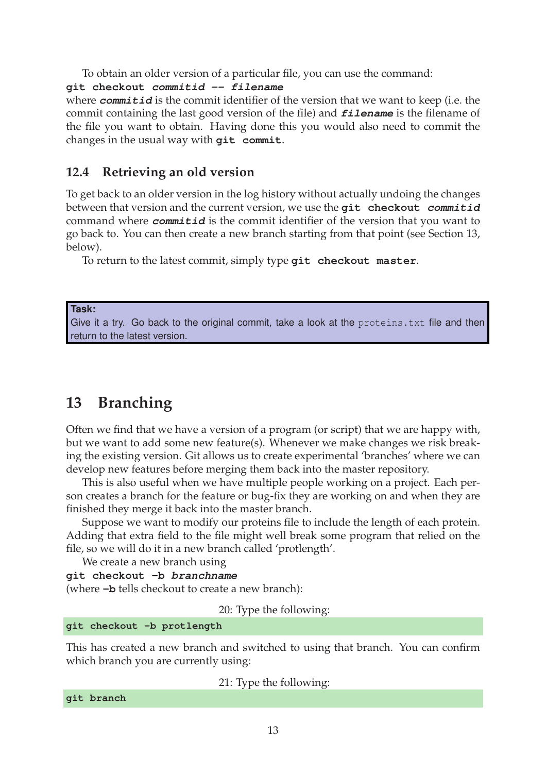To obtain an older version of a particular file, you can use the command:

#### **git checkout commitid -- filename**

where *commitid* is the commit identifier of the version that we want to keep (i.e. the commit containing the last good version of the file) and **filename** is the filename of the file you want to obtain. Having done this you would also need to commit the changes in the usual way with **git commit**.

### **12.4 Retrieving an old version**

To get back to an older version in the log history without actually undoing the changes between that version and the current version, we use the **git checkout commitid** command where **commitid** is the commit identifier of the version that you want to go back to. You can then create a new branch starting from that point (see Section 13, below).

To return to the latest commit, simply type **git checkout master**.

#### **Task:**

Give it a try. Go back to the original commit, take a look at the proteins.txt file and then return to the latest version.

### **13 Branching**

Often we find that we have a version of a program (or script) that we are happy with, but we want to add some new feature(s). Whenever we make changes we risk breaking the existing version. Git allows us to create experimental 'branches' where we can develop new features before merging them back into the master repository.

This is also useful when we have multiple people working on a project. Each person creates a branch for the feature or bug-fix they are working on and when they are finished they merge it back into the master branch.

Suppose we want to modify our proteins file to include the length of each protein. Adding that extra field to the file might well break some program that relied on the file, so we will do it in a new branch called 'protlength'.

We create a new branch using

```
git checkout -b branchname
```
(where **-b** tells checkout to create a new branch):

20: Type the following:

#### **git checkout -b protlength**

This has created a new branch and switched to using that branch. You can confirm which branch you are currently using:

21: Type the following:

**git branch**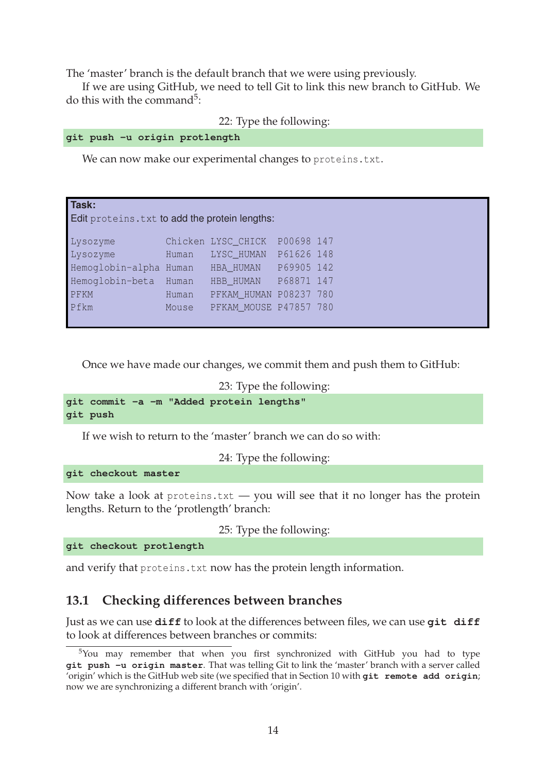The 'master' branch is the default branch that we were using previously.

If we are using GitHub, we need to tell Git to link this new branch to GitHub. We do this with the command<sup>5</sup>:

22: Type the following:

```
git push -u origin protlength
```
We can now make our experimental changes to proteins.txt.

| Task:<br>Edit proteins. txt to add the protein lengths: |       |                        |            |  |
|---------------------------------------------------------|-------|------------------------|------------|--|
| Lysozyme                                                |       | Chicken LYSC CHICK     | P00698 147 |  |
| Lysozyme                                                | Human | LYSC_HUMAN             | P61626 148 |  |
| Hemoglobin-alpha                                        | Human | HBA HUMAN              | P69905 142 |  |
| Hemoglobin-beta                                         | Human | HBB_HUMAN              | P68871 147 |  |
| PFKM                                                    | Human | PFKAM HUMAN P08237 780 |            |  |
| Pfkm                                                    | Mouse | PFKAM MOUSE P47857 780 |            |  |

Once we have made our changes, we commit them and push them to GitHub:

```
23: Type the following:
```

```
git commit -a -m "Added protein lengths"
git push
```
If we wish to return to the 'master' branch we can do so with:

24: Type the following:

**git checkout master**

Now take a look at proteins.txt  $-$  you will see that it no longer has the protein lengths. Return to the 'protlength' branch:

25: Type the following:

**git checkout protlength**

and verify that proteins.txt now has the protein length information.

### **13.1 Checking differences between branches**

Just as we can use **diff** to look at the differences between files, we can use **git diff** to look at differences between branches or commits:

 $5$ You may remember that when you first synchronized with GitHub you had to type **git push -u origin master**. That was telling Git to link the 'master' branch with a server called 'origin' which is the GitHub web site (we specified that in Section 10 with **git remote add origin**; now we are synchronizing a different branch with 'origin'.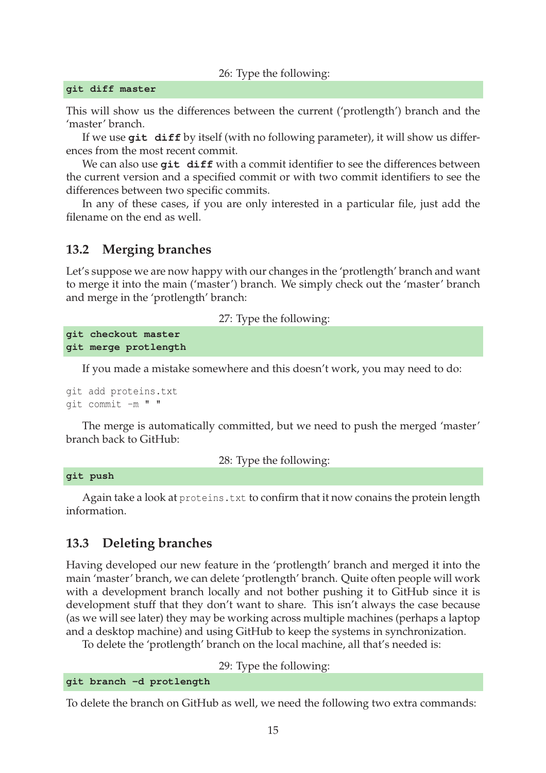#### 26: Type the following:

#### **git diff master**

This will show us the differences between the current ('protlength') branch and the 'master' branch.

If we use **git diff** by itself (with no following parameter), it will show us differences from the most recent commit.

We can also use git diff with a commit identifier to see the differences between the current version and a specified commit or with two commit identifiers to see the differences between two specific commits.

In any of these cases, if you are only interested in a particular file, just add the filename on the end as well.

### **13.2 Merging branches**

Let's suppose we are now happy with our changes in the 'protlength' branch and want to merge it into the main ('master') branch. We simply check out the 'master' branch and merge in the 'protlength' branch:

27: Type the following:

```
git checkout master
git merge protlength
```
If you made a mistake somewhere and this doesn't work, you may need to do:

git add proteins.txt git commit -m " "

The merge is automatically committed, but we need to push the merged 'master' branch back to GitHub:

28: Type the following:

#### **git push**

Again take a look at proteins.txt to confirm that it now conains the protein length information.

#### **13.3 Deleting branches**

Having developed our new feature in the 'protlength' branch and merged it into the main 'master' branch, we can delete 'protlength' branch. Quite often people will work with a development branch locally and not bother pushing it to GitHub since it is development stuff that they don't want to share. This isn't always the case because (as we will see later) they may be working across multiple machines (perhaps a laptop and a desktop machine) and using GitHub to keep the systems in synchronization.

To delete the 'protlength' branch on the local machine, all that's needed is:

29: Type the following:

#### **git branch -d protlength**

To delete the branch on GitHub as well, we need the following two extra commands: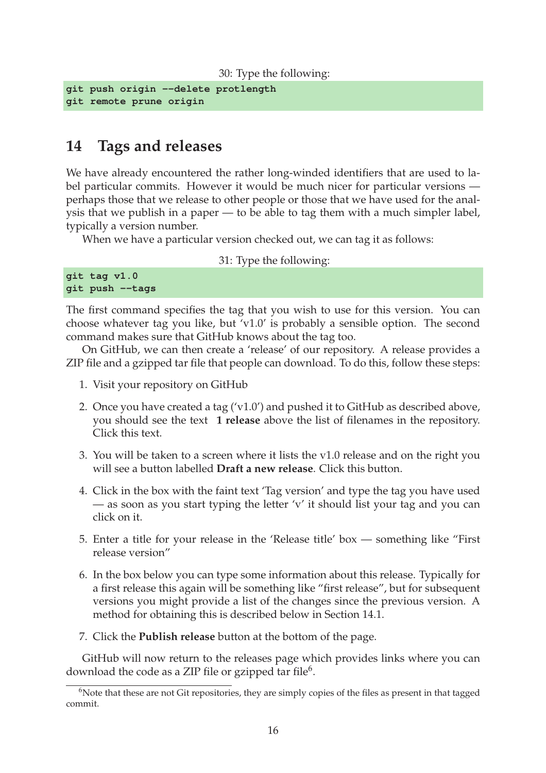```
30: Type the following:
```

```
git push origin --delete protlength
git remote prune origin
```
### **14 Tags and releases**

We have already encountered the rather long-winded identifiers that are used to label particular commits. However it would be much nicer for particular versions perhaps those that we release to other people or those that we have used for the analysis that we publish in a paper — to be able to tag them with a much simpler label, typically a version number.

When we have a particular version checked out, we can tag it as follows:

#### 31: Type the following:

| git tag v1.0    |  |
|-----------------|--|
| git push --tags |  |

The first command specifies the tag that you wish to use for this version. You can choose whatever tag you like, but 'v1.0' is probably a sensible option. The second command makes sure that GitHub knows about the tag too.

On GitHub, we can then create a 'release' of our repository. A release provides a ZIP file and a gzipped tar file that people can download. To do this, follow these steps:

- 1. Visit your repository on GitHub
- 2. Once you have created a tag ('v1.0') and pushed it to GitHub as described above, you should see the text **1 release** above the list of filenames in the repository. Click this text.
- 3. You will be taken to a screen where it lists the v1.0 release and on the right you will see a button labelled **Draft a new release**. Click this button.
- 4. Click in the box with the faint text 'Tag version' and type the tag you have used — as soon as you start typing the letter 'v' it should list your tag and you can click on it.
- 5. Enter a title for your release in the 'Release title' box something like "First release version"
- 6. In the box below you can type some information about this release. Typically for a first release this again will be something like "first release", but for subsequent versions you might provide a list of the changes since the previous version. A method for obtaining this is described below in Section 14.1.
- 7. Click the **Publish release** button at the bottom of the page.

GitHub will now return to the releases page which provides links where you can download the code as a ZIP file or gzipped tar file $^6$ .

<sup>&</sup>lt;sup>6</sup>Note that these are not Git repositories, they are simply copies of the files as present in that tagged commit.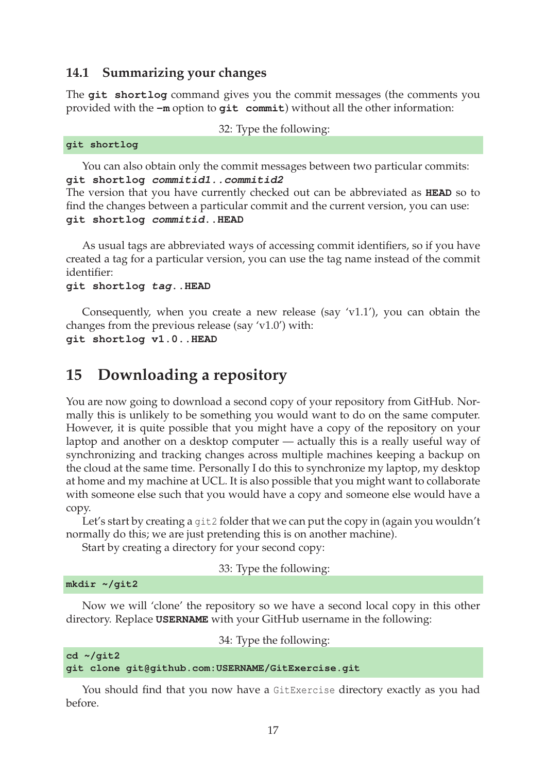### **14.1 Summarizing your changes**

The **git shortlog** command gives you the commit messages (the comments you provided with the **-m** option to **git commit**) without all the other information:

```
32: Type the following:
```

| git shortlog |
|--------------|
|--------------|

You can also obtain only the commit messages between two particular commits: **git shortlog commitid1..commitid2**

The version that you have currently checked out can be abbreviated as **HEAD** so to find the changes between a particular commit and the current version, you can use: **git shortlog commitid..HEAD**

As usual tags are abbreviated ways of accessing commit identifiers, so if you have created a tag for a particular version, you can use the tag name instead of the commit identifier:

#### **git shortlog tag..HEAD**

Consequently, when you create a new release (say 'v1.1'), you can obtain the changes from the previous release (say 'v1.0') with: **git shortlog v1.0..HEAD**

### **15 Downloading a repository**

You are now going to download a second copy of your repository from GitHub. Normally this is unlikely to be something you would want to do on the same computer. However, it is quite possible that you might have a copy of the repository on your laptop and another on a desktop computer — actually this is a really useful way of synchronizing and tracking changes across multiple machines keeping a backup on the cloud at the same time. Personally I do this to synchronize my laptop, my desktop at home and my machine at UCL. It is also possible that you might want to collaborate with someone else such that you would have a copy and someone else would have a copy.

Let's start by creating a git2 folder that we can put the copy in (again you wouldn't normally do this; we are just pretending this is on another machine).

Start by creating a directory for your second copy:

33: Type the following:

```
mkdir ~/git2
```
Now we will 'clone' the repository so we have a second local copy in this other directory. Replace **USERNAME** with your GitHub username in the following:

34: Type the following:

```
cd ~/git2
git clone git@github.com:USERNAME/GitExercise.git
```
You should find that you now have a GitExercise directory exactly as you had before.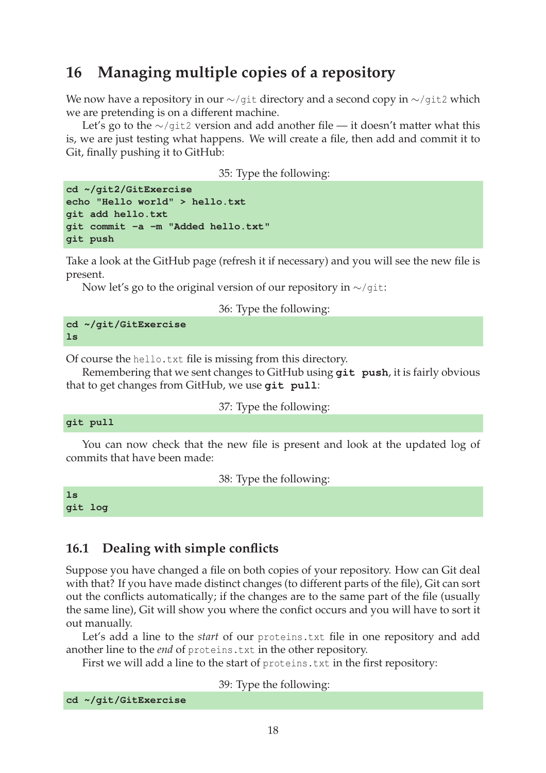## **16 Managing multiple copies of a repository**

We now have a repository in our ∼/git directory and a second copy in  $\sim$ /git2 which we are pretending is on a different machine.

Let's go to the ∼/git2 version and add another file — it doesn't matter what this is, we are just testing what happens. We will create a file, then add and commit it to Git, finally pushing it to GitHub:

35: Type the following:

```
cd ~/git2/GitExercise
echo "Hello world" > hello.txt
git add hello.txt
git commit -a -m "Added hello.txt"
git push
```
Take a look at the GitHub page (refresh it if necessary) and you will see the new file is present.

Now let's go to the original version of our repository in  $\sim$ /qit:

36: Type the following:

**cd ~/git/GitExercise ls**

Of course the hello.txt file is missing from this directory.

Remembering that we sent changes to GitHub using **git push**, it is fairly obvious that to get changes from GitHub, we use **git pull**:

37: Type the following:

```
git pull
```
You can now check that the new file is present and look at the updated log of commits that have been made:

38: Type the following:

| ┑╄ |    |
|----|----|
| ۰  | ۰ı |

### **16.1 Dealing with simple conflicts**

Suppose you have changed a file on both copies of your repository. How can Git deal with that? If you have made distinct changes (to different parts of the file), Git can sort out the conflicts automatically; if the changes are to the same part of the file (usually the same line), Git will show you where the confict occurs and you will have to sort it out manually.

Let's add a line to the *start* of our proteins.txt file in one repository and add another line to the *end* of proteins.txt in the other repository.

First we will add a line to the start of proteins.txt in the first repository:

39: Type the following:

```
cd ~/git/GitExercise
```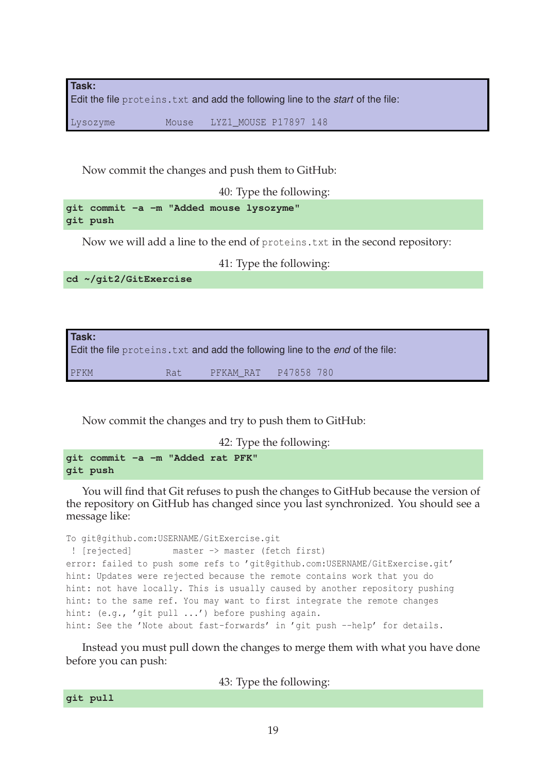**Task:** Edit the file proteins.txt and add the following line to the *start* of the file:

Lysozyme Mouse LYZ1\_MOUSE P17897 148

Now commit the changes and push them to GitHub:

40: Type the following:

**git commit -a -m "Added mouse lysozyme" git push**

Now we will add a line to the end of proteins.txt in the second repository:

41: Type the following:

**cd ~/git2/GitExercise**

| Task: |      |                      | Edit the file proteins. txt and add the following line to the end of the file: |
|-------|------|----------------------|--------------------------------------------------------------------------------|
| PFKM  | Rat. | PFKAM RAT P47858 780 |                                                                                |

Now commit the changes and try to push them to GitHub:

42: Type the following:

**git commit -a -m "Added rat PFK" git push**

You will find that Git refuses to push the changes to GitHub because the version of the repository on GitHub has changed since you last synchronized. You should see a message like:

```
To git@github.com:USERNAME/GitExercise.git
! [rejected] master -> master (fetch first)
error: failed to push some refs to 'git@github.com:USERNAME/GitExercise.git'
hint: Updates were rejected because the remote contains work that you do
hint: not have locally. This is usually caused by another repository pushing
hint: to the same ref. You may want to first integrate the remote changes
hint: (e.g., 'git pull ...') before pushing again.
hint: See the 'Note about fast-forwards' in 'git push --help' for details.
```
Instead you must pull down the changes to merge them with what you have done before you can push:

43: Type the following:

```
git pull
```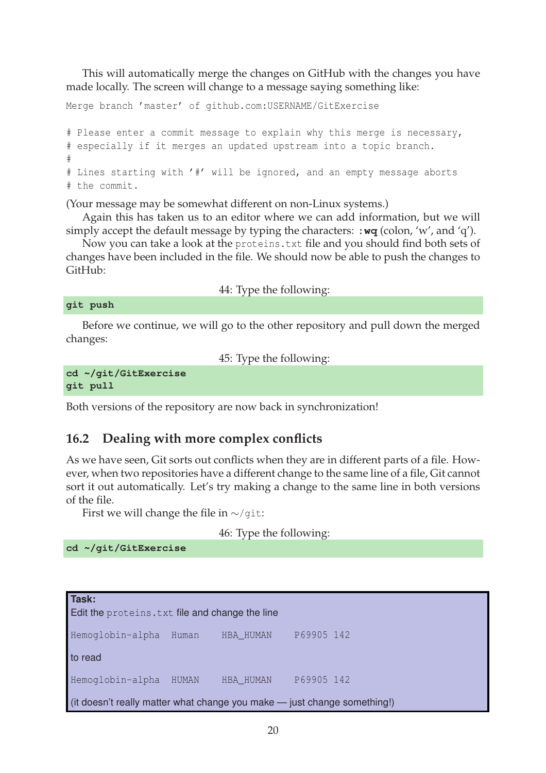This will automatically merge the changes on GitHub with the changes you have made locally. The screen will change to a message saying something like:

Merge branch 'master' of github.com:USERNAME/GitExercise # Please enter a commit message to explain why this merge is necessary, # especially if it merges an updated upstream into a topic branch. # # Lines starting with '#' will be ignored, and an empty message aborts # the commit.

(Your message may be somewhat different on non-Linux systems.)

Again this has taken us to an editor where we can add information, but we will simply accept the default message by typing the characters: **:wq** (colon, 'w', and 'q').

Now you can take a look at the proteins.txt file and you should find both sets of changes have been included in the file. We should now be able to push the changes to GitHub:

44: Type the following:

**git push**

Before we continue, we will go to the other repository and pull down the merged changes:

45: Type the following:

```
cd ~/git/GitExercise
git pull
```
Both versions of the repository are now back in synchronization!

### **16.2 Dealing with more complex conflicts**

As we have seen, Git sorts out conflicts when they are in different parts of a file. However, when two repositories have a different change to the same line of a file, Git cannot sort it out automatically. Let's try making a change to the same line in both versions of the file.

First we will change the file in  $\sim$ /git:

46: Type the following:

**cd ~/git/GitExercise**

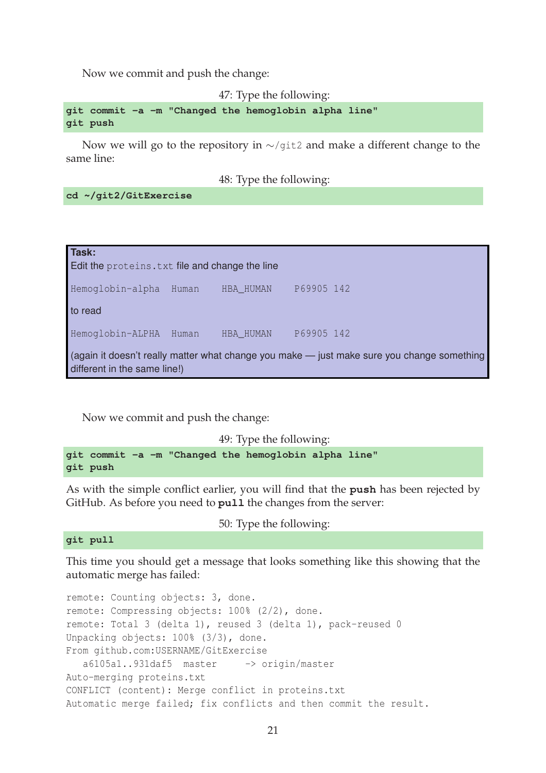Now we commit and push the change:

47: Type the following:

**git commit -a -m "Changed the hemoglobin alpha line" git push**

Now we will go to the repository in ∼/git2 and make a different change to the same line:

48: Type the following:

**cd ~/git2/GitExercise**

| Task:<br>Edit the proteins. txt file and change the line                                                                   |       |           |            |
|----------------------------------------------------------------------------------------------------------------------------|-------|-----------|------------|
| Hemoglobin-alpha                                                                                                           | Human | HBA_HUMAN | P69905 142 |
| to read                                                                                                                    |       |           |            |
| Hemoglobin-ALPHA                                                                                                           | Human | HBA_HUMAN | P69905 142 |
| (again it doesn't really matter what change you make - just make sure you change something<br>different in the same line!) |       |           |            |

Now we commit and push the change:

49: Type the following: **git commit -a -m "Changed the hemoglobin alpha line" git push**

As with the simple conflict earlier, you will find that the **push** has been rejected by GitHub. As before you need to **pull** the changes from the server:

50: Type the following:

**git pull**

This time you should get a message that looks something like this showing that the automatic merge has failed:

remote: Counting objects: 3, done. remote: Compressing objects: 100% (2/2), done. remote: Total 3 (delta 1), reused 3 (delta 1), pack-reused 0 Unpacking objects: 100% (3/3), done. From github.com:USERNAME/GitExercise a6105a1..931daf5 master -> origin/master Auto-merging proteins.txt CONFLICT (content): Merge conflict in proteins.txt Automatic merge failed; fix conflicts and then commit the result.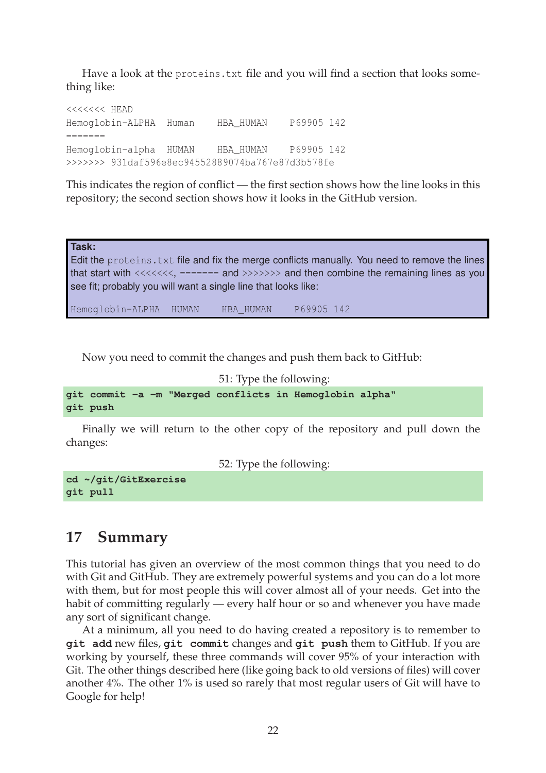Have a look at the proteins.txt file and you will find a section that looks something like:

<<<<<<< HEAD Hemoglobin-ALPHA Human HBA\_HUMAN P69905 142 ======= Hemoglobin-alpha HUMAN HBA\_HUMAN P69905 142 >>>>>>> 931daf596e8ec94552889074ba767e87d3b578fe

This indicates the region of conflict — the first section shows how the line looks in this repository; the second section shows how it looks in the GitHub version.

**Task:** Edit the proteins.txt file and fix the merge conflicts manually. You need to remove the lines that start with  $\langle \langle \langle \cdot \rangle \rangle$  ======= and  $\langle \rangle \rangle$  and then combine the remaining lines as you see fit; probably you will want a single line that looks like:

Hemoglobin-ALPHA HUMAN HBA\_HUMAN P69905 142

Now you need to commit the changes and push them back to GitHub:

```
51: Type the following:
git commit -a -m "Merged conflicts in Hemoglobin alpha"
git push
```
Finally we will return to the other copy of the repository and pull down the changes:

52: Type the following:

**cd ~/git/GitExercise git pull**

### **17 Summary**

This tutorial has given an overview of the most common things that you need to do with Git and GitHub. They are extremely powerful systems and you can do a lot more with them, but for most people this will cover almost all of your needs. Get into the habit of committing regularly — every half hour or so and whenever you have made any sort of significant change.

At a minimum, all you need to do having created a repository is to remember to **git add** new files, **git commit** changes and **git push** them to GitHub. If you are working by yourself, these three commands will cover 95% of your interaction with Git. The other things described here (like going back to old versions of files) will cover another 4%. The other 1% is used so rarely that most regular users of Git will have to Google for help!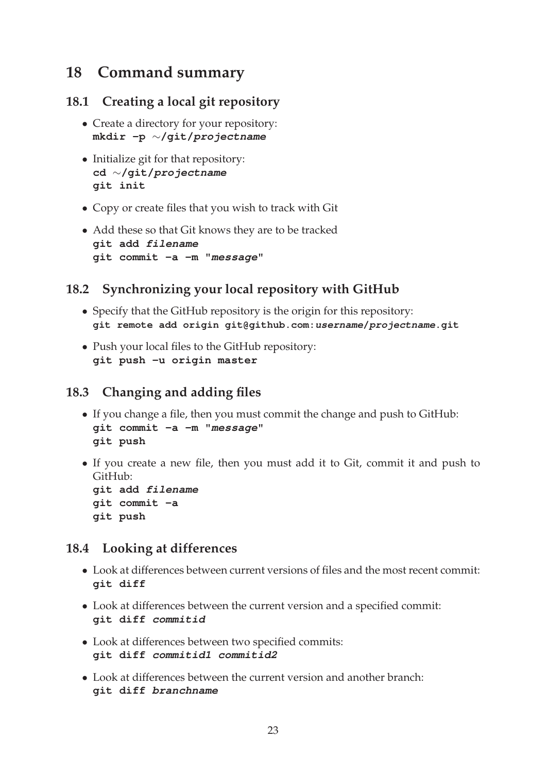## **18 Command summary**

### **18.1 Creating a local git repository**

- Create a directory for your repository: **mkdir -p** ∼**/git/projectname**
- Initialize git for that repository: **cd** ∼**/git/projectname git init**
- Copy or create files that you wish to track with Git
- Add these so that Git knows they are to be tracked **git add filename git commit -a -m "message"**

### **18.2 Synchronizing your local repository with GitHub**

- Specify that the GitHub repository is the origin for this repository: **git remote add origin git@github.com:username/projectname.git**
- Push your local files to the GitHub repository: **git push -u origin master**

### **18.3 Changing and adding files**

- If you change a file, then you must commit the change and push to GitHub: **git commit -a -m "message" git push**
- If you create a new file, then you must add it to Git, commit it and push to GitHub:

**git add filename git commit -a git push**

### **18.4 Looking at differences**

- Look at differences between current versions of files and the most recent commit: **git diff**
- Look at differences between the current version and a specified commit: **git diff commitid**
- Look at differences between two specified commits: **git diff commitid1 commitid2**
- Look at differences between the current version and another branch: **git diff branchname**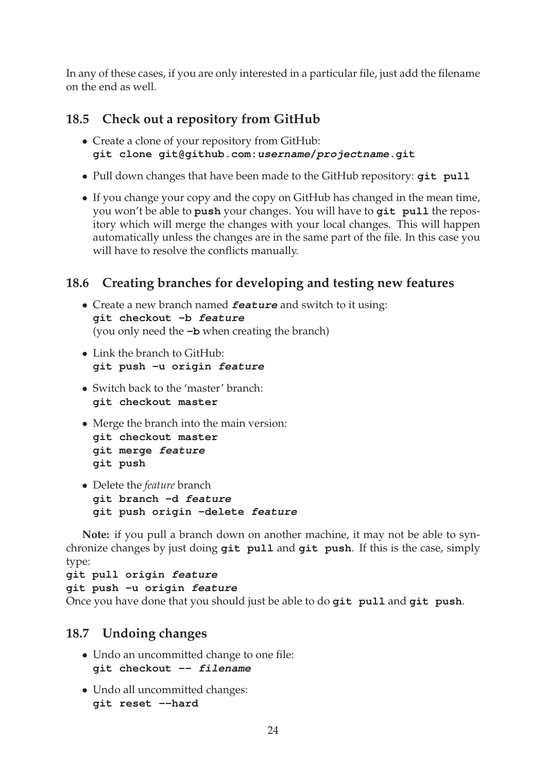In any of these cases, if you are only interested in a particular file, just add the filename on the end as well.

### **18.5 Check out a repository from GitHub**

- Create a clone of your repository from GitHub: **git clone git@github.com:username/projectname.git**
- Pull down changes that have been made to the GitHub repository: **git pull**
- If you change your copy and the copy on GitHub has changed in the mean time, you won't be able to **push** your changes. You will have to **git pull** the repository which will merge the changes with your local changes. This will happen automatically unless the changes are in the same part of the file. In this case you will have to resolve the conflicts manually.

### **18.6 Creating branches for developing and testing new features**

- Create a new branch named **feature** and switch to it using: **git checkout -b feature** (you only need the **-b** when creating the branch)
- Link the branch to GitHub: **git push -u origin feature**
- Switch back to the 'master' branch: **git checkout master**
- Merge the branch into the main version:

```
git checkout master
git merge feature
git push
```
• Delete the *feature* branch **git branch -d feature git push origin -delete feature**

**Note:** if you pull a branch down on another machine, it may not be able to synchronize changes by just doing **git pull** and **git push**. If this is the case, simply type:

**git pull origin feature git push -u origin feature** Once you have done that you should just be able to do **git pull** and **git push**.

### **18.7 Undoing changes**

- Undo an uncommitted change to one file: **git checkout -- filename**
- Undo all uncommitted changes: **git reset --hard**